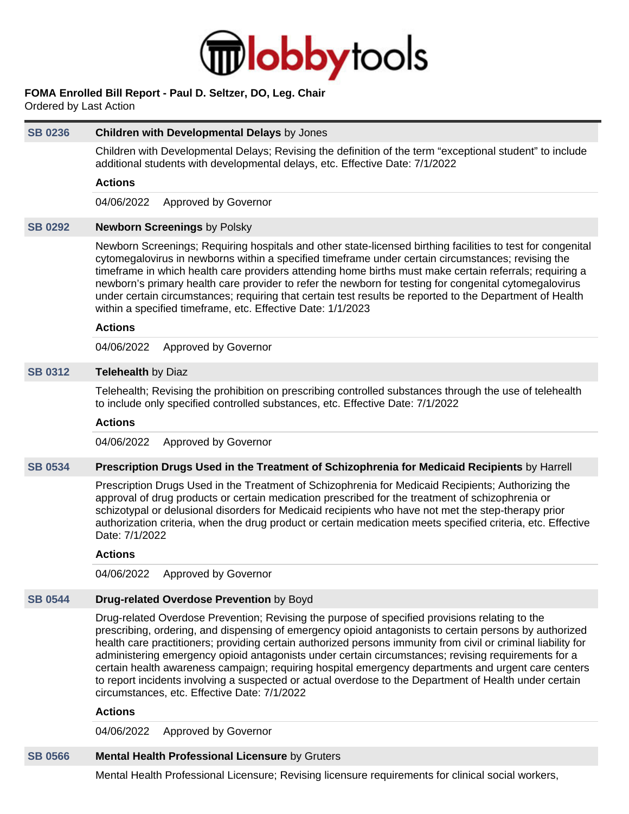

## **FOMA Enrolled Bill Report - Paul D. Seltzer, DO, Leg. Chair**

Ordered by Last Action

| <b>SB 0236</b> | Children with Developmental Delays by Jones                                                                                                                                                                                                                                                                                                                                                                                                                                                                                                                                                                                                                                                       |
|----------------|---------------------------------------------------------------------------------------------------------------------------------------------------------------------------------------------------------------------------------------------------------------------------------------------------------------------------------------------------------------------------------------------------------------------------------------------------------------------------------------------------------------------------------------------------------------------------------------------------------------------------------------------------------------------------------------------------|
|                | Children with Developmental Delays; Revising the definition of the term "exceptional student" to include<br>additional students with developmental delays, etc. Effective Date: 7/1/2022                                                                                                                                                                                                                                                                                                                                                                                                                                                                                                          |
|                | <b>Actions</b>                                                                                                                                                                                                                                                                                                                                                                                                                                                                                                                                                                                                                                                                                    |
|                | 04/06/2022<br>Approved by Governor                                                                                                                                                                                                                                                                                                                                                                                                                                                                                                                                                                                                                                                                |
| <b>SB 0292</b> | <b>Newborn Screenings by Polsky</b>                                                                                                                                                                                                                                                                                                                                                                                                                                                                                                                                                                                                                                                               |
|                | Newborn Screenings; Requiring hospitals and other state-licensed birthing facilities to test for congenital<br>cytomegalovirus in newborns within a specified timeframe under certain circumstances; revising the<br>timeframe in which health care providers attending home births must make certain referrals; requiring a<br>newborn's primary health care provider to refer the newborn for testing for congenital cytomegalovirus<br>under certain circumstances; requiring that certain test results be reported to the Department of Health<br>within a specified timeframe, etc. Effective Date: 1/1/2023                                                                                 |
|                | <b>Actions</b>                                                                                                                                                                                                                                                                                                                                                                                                                                                                                                                                                                                                                                                                                    |
|                | 04/06/2022<br>Approved by Governor                                                                                                                                                                                                                                                                                                                                                                                                                                                                                                                                                                                                                                                                |
| <b>SB 0312</b> | Telehealth by Diaz                                                                                                                                                                                                                                                                                                                                                                                                                                                                                                                                                                                                                                                                                |
|                | Telehealth; Revising the prohibition on prescribing controlled substances through the use of telehealth<br>to include only specified controlled substances, etc. Effective Date: 7/1/2022                                                                                                                                                                                                                                                                                                                                                                                                                                                                                                         |
|                | <b>Actions</b>                                                                                                                                                                                                                                                                                                                                                                                                                                                                                                                                                                                                                                                                                    |
|                | 04/06/2022<br>Approved by Governor                                                                                                                                                                                                                                                                                                                                                                                                                                                                                                                                                                                                                                                                |
| <b>SB 0534</b> | Prescription Drugs Used in the Treatment of Schizophrenia for Medicaid Recipients by Harrell                                                                                                                                                                                                                                                                                                                                                                                                                                                                                                                                                                                                      |
|                | Prescription Drugs Used in the Treatment of Schizophrenia for Medicaid Recipients; Authorizing the<br>approval of drug products or certain medication prescribed for the treatment of schizophrenia or<br>schizotypal or delusional disorders for Medicaid recipients who have not met the step-therapy prior<br>authorization criteria, when the drug product or certain medication meets specified criteria, etc. Effective<br>Date: 7/1/2022                                                                                                                                                                                                                                                   |
|                | <b>Actions</b>                                                                                                                                                                                                                                                                                                                                                                                                                                                                                                                                                                                                                                                                                    |
|                | 04/06/2022 Approved by Governor                                                                                                                                                                                                                                                                                                                                                                                                                                                                                                                                                                                                                                                                   |
| <b>SB 0544</b> | Drug-related Overdose Prevention by Boyd                                                                                                                                                                                                                                                                                                                                                                                                                                                                                                                                                                                                                                                          |
|                | Drug-related Overdose Prevention; Revising the purpose of specified provisions relating to the<br>prescribing, ordering, and dispensing of emergency opioid antagonists to certain persons by authorized<br>health care practitioners; providing certain authorized persons immunity from civil or criminal liability for<br>administering emergency opioid antagonists under certain circumstances; revising requirements for a<br>certain health awareness campaign; requiring hospital emergency departments and urgent care centers<br>to report incidents involving a suspected or actual overdose to the Department of Health under certain<br>circumstances, etc. Effective Date: 7/1/2022 |
|                | <b>Actions</b>                                                                                                                                                                                                                                                                                                                                                                                                                                                                                                                                                                                                                                                                                    |

#### **Actions**

04/06/2022 Approved by Governor

# **[SB 0566](https://public.lobbytools.com/bills/59983) Mental Health Professional Licensure** by Gruters

Mental Health Professional Licensure; Revising licensure requirements for clinical social workers,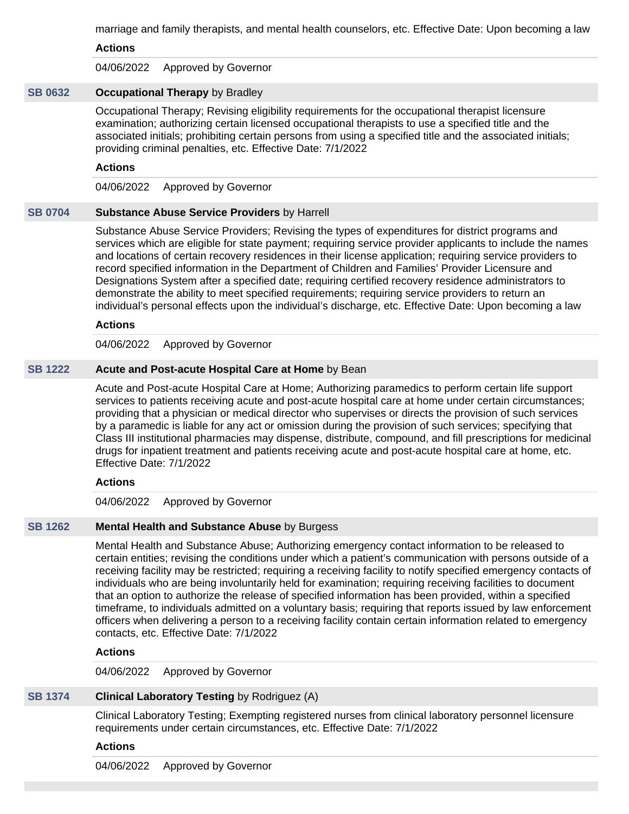marriage and family therapists, and mental health counselors, etc. Effective Date: Upon becoming a law

**Actions**

04/06/2022 Approved by Governor

### **[SB 0632](https://public.lobbytools.com/bills/60108) Occupational Therapy** by Bradley

Occupational Therapy; Revising eligibility requirements for the occupational therapist licensure examination; authorizing certain licensed occupational therapists to use a specified title and the associated initials; prohibiting certain persons from using a specified title and the associated initials; providing criminal penalties, etc. Effective Date: 7/1/2022

#### **Actions**

04/06/2022 Approved by Governor

#### **[SB 0704](https://public.lobbytools.com/bills/60180) Substance Abuse Service Providers** by Harrell

Substance Abuse Service Providers; Revising the types of expenditures for district programs and services which are eligible for state payment; requiring service provider applicants to include the names and locations of certain recovery residences in their license application; requiring service providers to record specified information in the Department of Children and Families' Provider Licensure and Designations System after a specified date; requiring certified recovery residence administrators to demonstrate the ability to meet specified requirements; requiring service providers to return an individual's personal effects upon the individual's discharge, etc. Effective Date: Upon becoming a law

#### **Actions**

04/06/2022 Approved by Governor

#### **[SB 1222](https://public.lobbytools.com/bills/62009) Acute and Post-acute Hospital Care at Home** by Bean

Acute and Post-acute Hospital Care at Home; Authorizing paramedics to perform certain life support services to patients receiving acute and post-acute hospital care at home under certain circumstances; providing that a physician or medical director who supervises or directs the provision of such services by a paramedic is liable for any act or omission during the provision of such services; specifying that Class III institutional pharmacies may dispense, distribute, compound, and fill prescriptions for medicinal drugs for inpatient treatment and patients receiving acute and post-acute hospital care at home, etc. Effective Date: 7/1/2022

#### **Actions**

04/06/2022 Approved by Governor

### **[SB 1262](https://public.lobbytools.com/bills/62058) Mental Health and Substance Abuse** by Burgess

Mental Health and Substance Abuse; Authorizing emergency contact information to be released to certain entities; revising the conditions under which a patient's communication with persons outside of a receiving facility may be restricted; requiring a receiving facility to notify specified emergency contacts of individuals who are being involuntarily held for examination; requiring receiving facilities to document that an option to authorize the release of specified information has been provided, within a specified timeframe, to individuals admitted on a voluntary basis; requiring that reports issued by law enforcement officers when delivering a person to a receiving facility contain certain information related to emergency contacts, etc. Effective Date: 7/1/2022

### **Actions**

04/06/2022 Approved by Governor

### **[SB 1374](https://public.lobbytools.com/bills/62242) Clinical Laboratory Testing** by Rodriguez (A)

Clinical Laboratory Testing; Exempting registered nurses from clinical laboratory personnel licensure requirements under certain circumstances, etc. Effective Date: 7/1/2022

### **Actions**

04/06/2022 Approved by Governor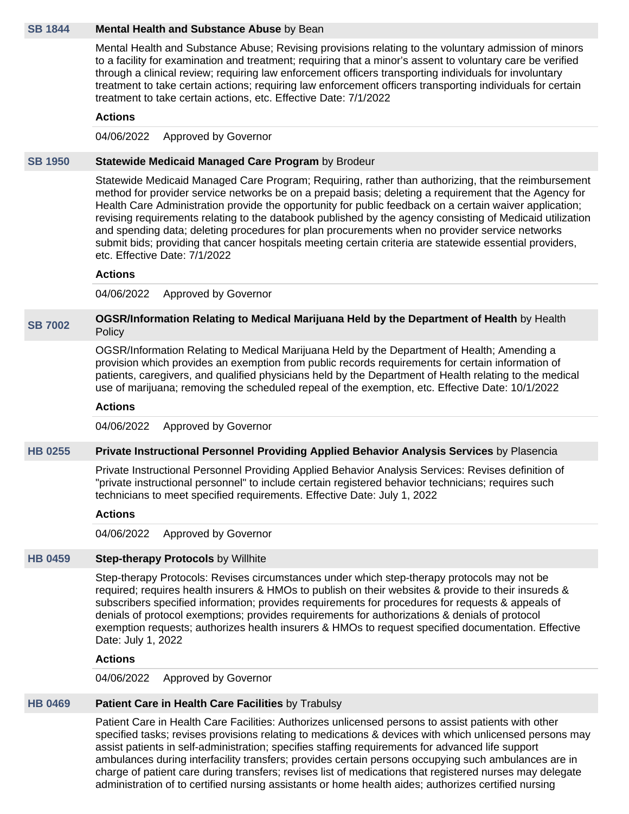#### **[SB 1844](https://public.lobbytools.com/bills/62697) Mental Health and Substance Abuse** by Bean

Mental Health and Substance Abuse; Revising provisions relating to the voluntary admission of minors to a facility for examination and treatment; requiring that a minor's assent to voluntary care be verified through a clinical review; requiring law enforcement officers transporting individuals for involuntary treatment to take certain actions; requiring law enforcement officers transporting individuals for certain treatment to take certain actions, etc. Effective Date: 7/1/2022

### **Actions**

04/06/2022 Approved by Governor

#### **[SB 1950](https://public.lobbytools.com/bills/62843) Statewide Medicaid Managed Care Program** by Brodeur

Statewide Medicaid Managed Care Program; Requiring, rather than authorizing, that the reimbursement method for provider service networks be on a prepaid basis; deleting a requirement that the Agency for Health Care Administration provide the opportunity for public feedback on a certain waiver application; revising requirements relating to the databook published by the agency consisting of Medicaid utilization and spending data; deleting procedures for plan procurements when no provider service networks submit bids; providing that cancer hospitals meeting certain criteria are statewide essential providers, etc. Effective Date: 7/1/2022

#### **Actions**

04/06/2022 Approved by Governor

#### **[SB 7002](https://public.lobbytools.com/bills/60100) OGSR/Information Relating to Medical Marijuana Held by the Department of Health** by Health **Policy**

OGSR/Information Relating to Medical Marijuana Held by the Department of Health; Amending a provision which provides an exemption from public records requirements for certain information of patients, caregivers, and qualified physicians held by the Department of Health relating to the medical use of marijuana; removing the scheduled repeal of the exemption, etc. Effective Date: 10/1/2022

#### **Actions**

04/06/2022 Approved by Governor

#### **[HB 0255](https://public.lobbytools.com/bills/59776) Private Instructional Personnel Providing Applied Behavior Analysis Services** by Plasencia

Private Instructional Personnel Providing Applied Behavior Analysis Services: Revises definition of "private instructional personnel" to include certain registered behavior technicians; requires such technicians to meet specified requirements. Effective Date: July 1, 2022

#### **Actions**

04/06/2022 Approved by Governor

### **[HB 0459](https://public.lobbytools.com/bills/60302) Step-therapy Protocols** by Willhite

Step-therapy Protocols: Revises circumstances under which step-therapy protocols may not be required; requires health insurers & HMOs to publish on their websites & provide to their insureds & subscribers specified information; provides requirements for procedures for requests & appeals of denials of protocol exemptions; provides requirements for authorizations & denials of protocol exemption requests; authorizes health insurers & HMOs to request specified documentation. Effective Date: July 1, 2022

### **Actions**

04/06/2022 Approved by Governor

### **[HB 0469](https://public.lobbytools.com/bills/60325) Patient Care in Health Care Facilities** by Trabulsy

Patient Care in Health Care Facilities: Authorizes unlicensed persons to assist patients with other specified tasks; revises provisions relating to medications & devices with which unlicensed persons may assist patients in self-administration; specifies staffing requirements for advanced life support ambulances during interfacility transfers; provides certain persons occupying such ambulances are in charge of patient care during transfers; revises list of medications that registered nurses may delegate administration of to certified nursing assistants or home health aides; authorizes certified nursing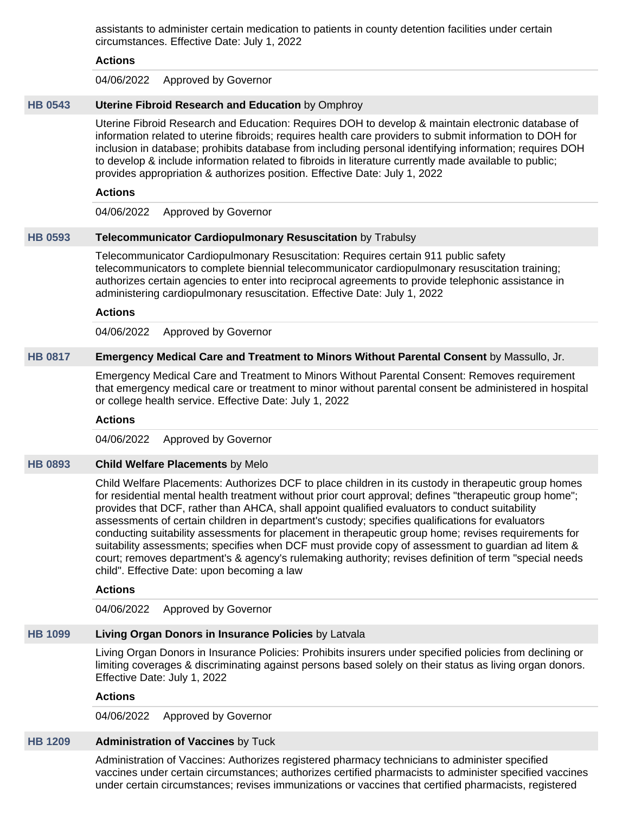assistants to administer certain medication to patients in county detention facilities under certain circumstances. Effective Date: July 1, 2022

#### **Actions**

04/06/2022 Approved by Governor

### **[HB 0543](https://public.lobbytools.com/bills/60509) Uterine Fibroid Research and Education** by Omphroy

Uterine Fibroid Research and Education: Requires DOH to develop & maintain electronic database of information related to uterine fibroids; requires health care providers to submit information to DOH for inclusion in database; prohibits database from including personal identifying information; requires DOH to develop & include information related to fibroids in literature currently made available to public; provides appropriation & authorizes position. Effective Date: July 1, 2022

#### **Actions**

04/06/2022 Approved by Governor

#### **[HB 0593](https://public.lobbytools.com/bills/60639) Telecommunicator Cardiopulmonary Resuscitation** by Trabulsy

Telecommunicator Cardiopulmonary Resuscitation: Requires certain 911 public safety telecommunicators to complete biennial telecommunicator cardiopulmonary resuscitation training; authorizes certain agencies to enter into reciprocal agreements to provide telephonic assistance in administering cardiopulmonary resuscitation. Effective Date: July 1, 2022

#### **Actions**

04/06/2022 Approved by Governor

## **[HB 0817](https://public.lobbytools.com/bills/61714) Emergency Medical Care and Treatment to Minors Without Parental Consent** by Massullo, Jr.

Emergency Medical Care and Treatment to Minors Without Parental Consent: Removes requirement that emergency medical care or treatment to minor without parental consent be administered in hospital or college health service. Effective Date: July 1, 2022

### **Actions**

04/06/2022 Approved by Governor

### **[HB 0893](https://public.lobbytools.com/bills/62000) Child Welfare Placements** by Melo

Child Welfare Placements: Authorizes DCF to place children in its custody in therapeutic group homes for residential mental health treatment without prior court approval; defines "therapeutic group home"; provides that DCF, rather than AHCA, shall appoint qualified evaluators to conduct suitability assessments of certain children in department's custody; specifies qualifications for evaluators conducting suitability assessments for placement in therapeutic group home; revises requirements for suitability assessments; specifies when DCF must provide copy of assessment to guardian ad litem & court; removes department's & agency's rulemaking authority; revises definition of term "special needs child". Effective Date: upon becoming a law

#### **Actions**

04/06/2022 Approved by Governor

#### **[HB 1099](https://public.lobbytools.com/bills/62304) Living Organ Donors in Insurance Policies** by Latvala

Living Organ Donors in Insurance Policies: Prohibits insurers under specified policies from declining or limiting coverages & discriminating against persons based solely on their status as living organ donors. Effective Date: July 1, 2022

#### **Actions**

04/06/2022 Approved by Governor

### **[HB 1209](https://public.lobbytools.com/bills/62459) Administration of Vaccines** by Tuck

Administration of Vaccines: Authorizes registered pharmacy technicians to administer specified vaccines under certain circumstances; authorizes certified pharmacists to administer specified vaccines under certain circumstances; revises immunizations or vaccines that certified pharmacists, registered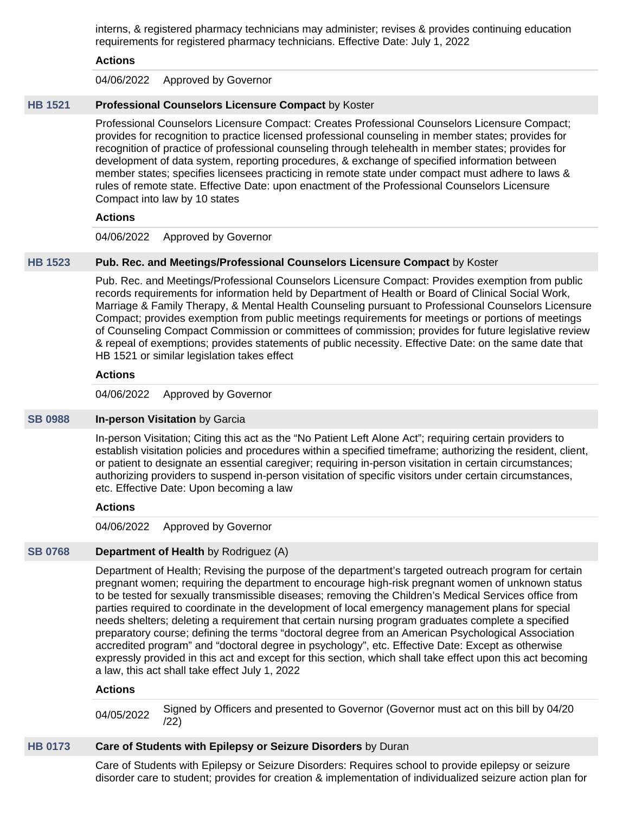interns, & registered pharmacy technicians may administer; revises & provides continuing education requirements for registered pharmacy technicians. Effective Date: July 1, 2022

## **Actions**

04/06/2022 Approved by Governor

## **[HB 1521](https://public.lobbytools.com/bills/62924) Professional Counselors Licensure Compact** by Koster

Professional Counselors Licensure Compact: Creates Professional Counselors Licensure Compact; provides for recognition to practice licensed professional counseling in member states; provides for recognition of practice of professional counseling through telehealth in member states; provides for development of data system, reporting procedures, & exchange of specified information between member states; specifies licensees practicing in remote state under compact must adhere to laws & rules of remote state. Effective Date: upon enactment of the Professional Counselors Licensure Compact into law by 10 states

## **Actions**

## 04/06/2022 Approved by Governor

## **[HB 1523](https://public.lobbytools.com/bills/62925) Pub. Rec. and Meetings/Professional Counselors Licensure Compact** by Koster

Pub. Rec. and Meetings/Professional Counselors Licensure Compact: Provides exemption from public records requirements for information held by Department of Health or Board of Clinical Social Work, Marriage & Family Therapy, & Mental Health Counseling pursuant to Professional Counselors Licensure Compact; provides exemption from public meetings requirements for meetings or portions of meetings of Counseling Compact Commission or committees of commission; provides for future legislative review & repeal of exemptions; provides statements of public necessity. Effective Date: on the same date that HB 1521 or similar legislation takes effect

## **Actions**

04/06/2022 Approved by Governor

### **[SB 0988](https://public.lobbytools.com/bills/61105) In-person Visitation** by Garcia

In-person Visitation; Citing this act as the "No Patient Left Alone Act"; requiring certain providers to establish visitation policies and procedures within a specified timeframe; authorizing the resident, client, or patient to designate an essential caregiver; requiring in-person visitation in certain circumstances; authorizing providers to suspend in-person visitation of specific visitors under certain circumstances, etc. Effective Date: Upon becoming a law

### **Actions**

### 04/06/2022 Approved by Governor

### **[SB 0768](https://public.lobbytools.com/bills/60274) Department of Health** by Rodriguez (A)

Department of Health; Revising the purpose of the department's targeted outreach program for certain pregnant women; requiring the department to encourage high-risk pregnant women of unknown status to be tested for sexually transmissible diseases; removing the Children's Medical Services office from parties required to coordinate in the development of local emergency management plans for special needs shelters; deleting a requirement that certain nursing program graduates complete a specified preparatory course; defining the terms "doctoral degree from an American Psychological Association accredited program" and "doctoral degree in psychology", etc. Effective Date: Except as otherwise expressly provided in this act and except for this section, which shall take effect upon this act becoming a law, this act shall take effect July 1, 2022

### **Actions**

04/05/2022 Signed by Officers and presented to Governor (Governor must act on this bill by 04/20 /22)

### **[HB 0173](https://public.lobbytools.com/bills/59623) Care of Students with Epilepsy or Seizure Disorders** by Duran

Care of Students with Epilepsy or Seizure Disorders: Requires school to provide epilepsy or seizure disorder care to student; provides for creation & implementation of individualized seizure action plan for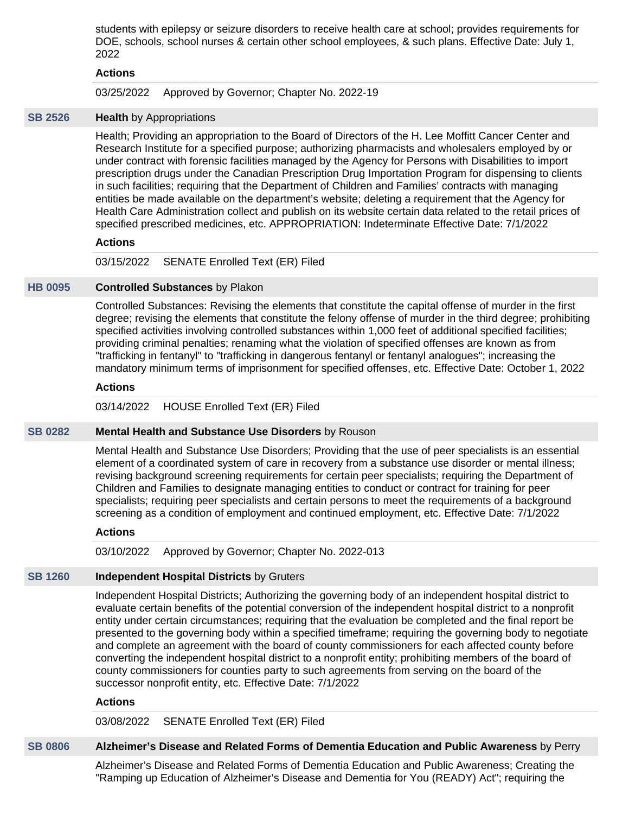students with epilepsy or seizure disorders to receive health care at school; provides requirements for DOE, schools, school nurses & certain other school employees, & such plans. Effective Date: July 1, 2022

#### **Actions**

03/25/2022 Approved by Governor; Chapter No. 2022-19

#### **[SB 2526](https://public.lobbytools.com/bills/63095) Health** by Appropriations

Health; Providing an appropriation to the Board of Directors of the H. Lee Moffitt Cancer Center and Research Institute for a specified purpose; authorizing pharmacists and wholesalers employed by or under contract with forensic facilities managed by the Agency for Persons with Disabilities to import prescription drugs under the Canadian Prescription Drug Importation Program for dispensing to clients in such facilities; requiring that the Department of Children and Families' contracts with managing entities be made available on the department's website; deleting a requirement that the Agency for Health Care Administration collect and publish on its website certain data related to the retail prices of specified prescribed medicines, etc. APPROPRIATION: Indeterminate Effective Date: 7/1/2022

### **Actions**

03/15/2022 SENATE Enrolled Text (ER) Filed

#### **[HB 0095](https://public.lobbytools.com/bills/59492) Controlled Substances** by Plakon

Controlled Substances: Revising the elements that constitute the capital offense of murder in the first degree; revising the elements that constitute the felony offense of murder in the third degree; prohibiting specified activities involving controlled substances within 1,000 feet of additional specified facilities; providing criminal penalties; renaming what the violation of specified offenses are known as from "trafficking in fentanyl" to "trafficking in dangerous fentanyl or fentanyl analogues"; increasing the mandatory minimum terms of imprisonment for specified offenses, etc. Effective Date: October 1, 2022

#### **Actions**

03/14/2022 HOUSE Enrolled Text (ER) Filed

### **[SB 0282](https://public.lobbytools.com/bills/59608) Mental Health and Substance Use Disorders** by Rouson

Mental Health and Substance Use Disorders; Providing that the use of peer specialists is an essential element of a coordinated system of care in recovery from a substance use disorder or mental illness; revising background screening requirements for certain peer specialists; requiring the Department of Children and Families to designate managing entities to conduct or contract for training for peer specialists; requiring peer specialists and certain persons to meet the requirements of a background screening as a condition of employment and continued employment, etc. Effective Date: 7/1/2022

### **Actions**

03/10/2022 Approved by Governor; Chapter No. 2022-013

## **[SB 1260](https://public.lobbytools.com/bills/62055) Independent Hospital Districts** by Gruters

Independent Hospital Districts; Authorizing the governing body of an independent hospital district to evaluate certain benefits of the potential conversion of the independent hospital district to a nonprofit entity under certain circumstances; requiring that the evaluation be completed and the final report be presented to the governing body within a specified timeframe; requiring the governing body to negotiate and complete an agreement with the board of county commissioners for each affected county before converting the independent hospital district to a nonprofit entity; prohibiting members of the board of county commissioners for counties party to such agreements from serving on the board of the successor nonprofit entity, etc. Effective Date: 7/1/2022

## **Actions**

03/08/2022 SENATE Enrolled Text (ER) Filed

#### **[SB 0806](https://public.lobbytools.com/bills/60352) Alzheimer's Disease and Related Forms of Dementia Education and Public Awareness** by Perry

Alzheimer's Disease and Related Forms of Dementia Education and Public Awareness; Creating the "Ramping up Education of Alzheimer's Disease and Dementia for You (READY) Act"; requiring the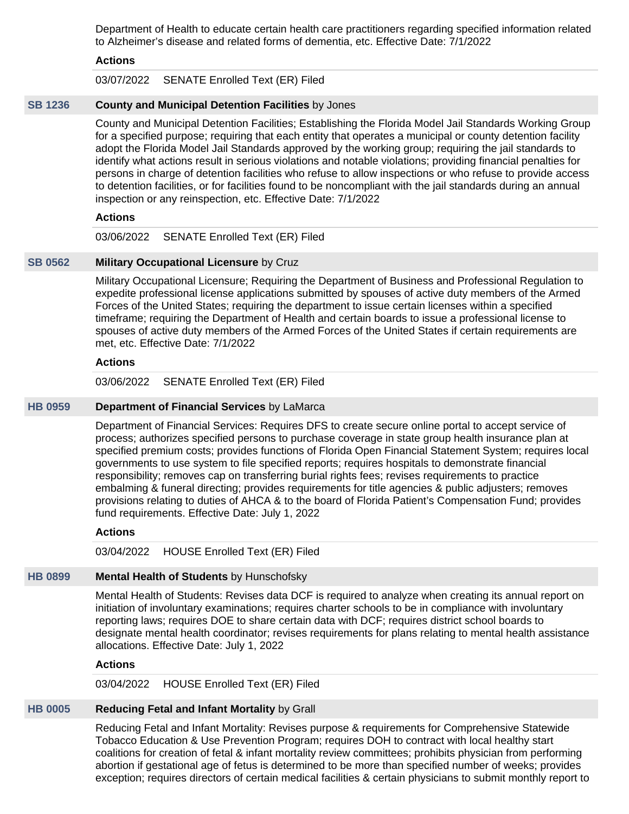Department of Health to educate certain health care practitioners regarding specified information related to Alzheimer's disease and related forms of dementia, etc. Effective Date: 7/1/2022

### **Actions**

03/07/2022 SENATE Enrolled Text (ER) Filed

### **[SB 1236](https://public.lobbytools.com/bills/62020) County and Municipal Detention Facilities** by Jones

County and Municipal Detention Facilities; Establishing the Florida Model Jail Standards Working Group for a specified purpose; requiring that each entity that operates a municipal or county detention facility adopt the Florida Model Jail Standards approved by the working group; requiring the jail standards to identify what actions result in serious violations and notable violations; providing financial penalties for persons in charge of detention facilities who refuse to allow inspections or who refuse to provide access to detention facilities, or for facilities found to be noncompliant with the jail standards during an annual inspection or any reinspection, etc. Effective Date: 7/1/2022

### **Actions**

03/06/2022 SENATE Enrolled Text (ER) Filed

### **[SB 0562](https://public.lobbytools.com/bills/59968) Military Occupational Licensure** by Cruz

Military Occupational Licensure; Requiring the Department of Business and Professional Regulation to expedite professional license applications submitted by spouses of active duty members of the Armed Forces of the United States; requiring the department to issue certain licenses within a specified timeframe; requiring the Department of Health and certain boards to issue a professional license to spouses of active duty members of the Armed Forces of the United States if certain requirements are met, etc. Effective Date: 7/1/2022

### **Actions**

03/06/2022 SENATE Enrolled Text (ER) Filed

## **[HB 0959](https://public.lobbytools.com/bills/62153) Department of Financial Services** by LaMarca

Department of Financial Services: Requires DFS to create secure online portal to accept service of process; authorizes specified persons to purchase coverage in state group health insurance plan at specified premium costs; provides functions of Florida Open Financial Statement System; requires local governments to use system to file specified reports; requires hospitals to demonstrate financial responsibility; removes cap on transferring burial rights fees; revises requirements to practice embalming & funeral directing; provides requirements for title agencies & public adjusters; removes provisions relating to duties of AHCA & to the board of Florida Patient's Compensation Fund; provides fund requirements. Effective Date: July 1, 2022

### **Actions**

03/04/2022 HOUSE Enrolled Text (ER) Filed

# **[HB 0899](https://public.lobbytools.com/bills/62021) Mental Health of Students** by Hunschofsky

Mental Health of Students: Revises data DCF is required to analyze when creating its annual report on initiation of involuntary examinations; requires charter schools to be in compliance with involuntary reporting laws; requires DOE to share certain data with DCF; requires district school boards to designate mental health coordinator; revises requirements for plans relating to mental health assistance allocations. Effective Date: July 1, 2022

### **Actions**

03/04/2022 HOUSE Enrolled Text (ER) Filed

## **[HB 0005](https://public.lobbytools.com/bills/62953) Reducing Fetal and Infant Mortality** by Grall

Reducing Fetal and Infant Mortality: Revises purpose & requirements for Comprehensive Statewide Tobacco Education & Use Prevention Program; requires DOH to contract with local healthy start coalitions for creation of fetal & infant mortality review committees; prohibits physician from performing abortion if gestational age of fetus is determined to be more than specified number of weeks; provides exception; requires directors of certain medical facilities & certain physicians to submit monthly report to